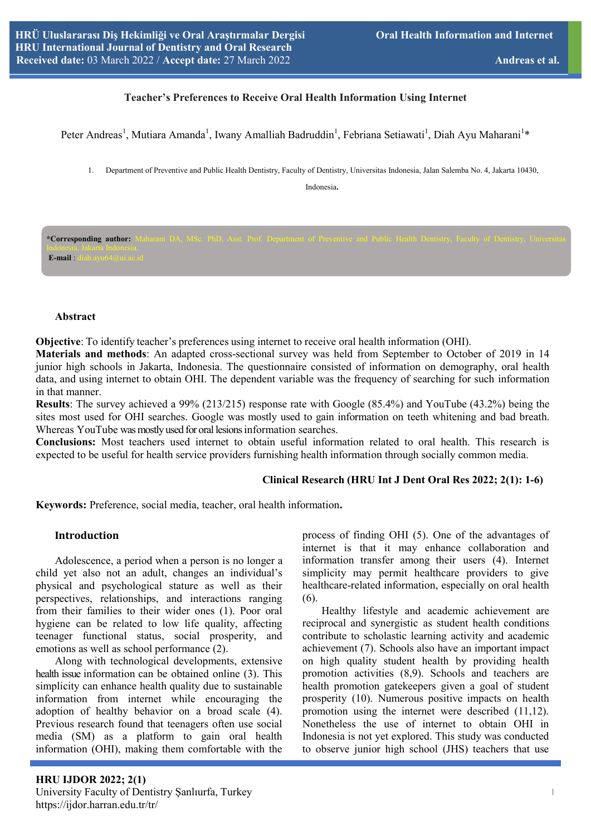# **7Eacher's Preferences to Receive Oral Health Information Using Internet**

Peter Andreas<sup>1</sup>, Mutiara Amanda<sup>1</sup>, Iwany Amalliah Badruddin<sup>1</sup>, Febriana Setiawati<sup>1</sup>, Diah Ayu Maharani<sup>1</sup>\*

1. Department of Preventive and Public Health Dentistry, Faculty of Dentistry, Universitas Indonesia, Jalan Salemba No. 4, Jakarta 10430,

Indonesia.

\*Corresponding author: **E-mail** :

#### **Abstract**

**Objective**: To identify teacher's preferences using internet to receive oral health information (OHI).

**Materials and methods**: An adapted cross-sectional survey was held from September to October of 2019 in 14 junior high schools in Jakarta, Indonesia. The questionnaire consisted of information on demography, oral health data, and using internet to obtain OHI. The dependent variable was the frequency of searching for such information in that manner.

**Results**: The survey achieved a 99% (213/215) response rate with Google (85.4%) and YouTube (43.2%) being the sites most used for OHI searches. Google was mostly used to gain information on teeth whitening and bad breath. Whereas YouTube was mostly used for oral lesions information searches.

**Conclusions:** Most teachers used internet to obtain useful information related to oral health. This research is expected to be useful for health service providers furnishing health information through socially common media.

#### **Clinical Research (HRU Int J Dent Oral Res 2022; 2(1): 1-6)**

**Keywords:** Preference, social media, teacher, oral health information**.**

# **Introduction**

Adolescence, a period when a person is no longer a child yet also not an adult, changes an individual's physical and psychological stature as well as their perspectives, relationships, and interactions ranging from their families to their wider ones (1). Poor oral hygiene can be related to low life quality, affecting teenager functional status, social prosperity, and emotions as well as school performance (2).

 Along with technological developments, extensive health issue information can be obtained online (3). This simplicity can enhance health quality due to sustainable information from internet while encouraging the adoption of healthy behavior on a broad scale (4). Previous research found that teenagers often use social media (SM) as a platform to gain oral health information (OHI), making them comfortable with the

process of finding OHI (5). One of the advantages of internet is that it may enhance collaboration and information transfer among their users (4). Internet simplicity may permit healthcare providers to give healthcare-related information, especially on oral health (6).

 Healthy lifestyle and academic achievement are reciprocal and synergistic as student health conditions contribute to scholastic learning activity and academic achievement (7). Schools also have an important impact on high quality student health by providing health promotion activities (8,9). Schools and teachers are health promotion gatekeepers given a goal of student prosperity (10). Numerous positive impacts on health promotion using the internet were described (11,12). Nonetheless the use of internet to obtain OHI in Indonesia is not yet explored. This study was conducted to observe junior high school (JHS) teachers that use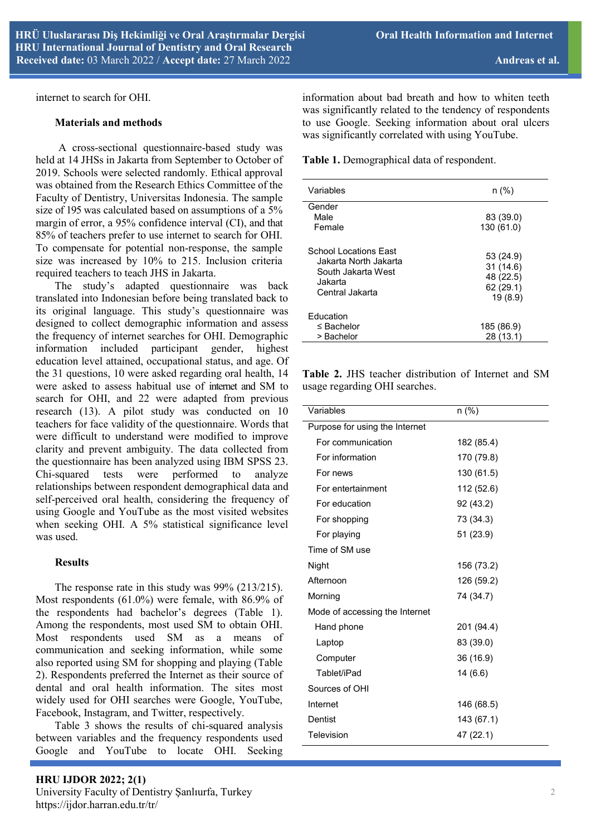internet to search for OHI.

#### **Materials and methods**

A cross-sectional questionnaire-based study was held at 14 JHSs in Jakarta from September to October of 2019. Schools were selected randomly. Ethical approval was obtained from the Research Ethics Committee of the Faculty of Dentistry, Universitas Indonesia. The sample size of 195 was calculated based on assumptions of a 5% margin of error, a 95% confidence interval (CI), and that 85% of teachers prefer to use internet to search for OHI. To compensate for potential non-response, the sample size was increased by 10% to 215. Inclusion criteria required teachers to teach JHS in Jakarta.

The study's adapted questionnaire was back translated into Indonesian before being translated back to its original language. This study's questionnaire was designed to collect demographic information and assess the frequency of internet searches for OHI. Demographic information included participant gender, highest education level attained, occupational status, and age. Of the 31 questions, 10 were asked regarding oral health, 14 were asked to assess habitual use of internet and SM to search for OHI, and 22 were adapted from previous research (13). A pilot study was conducted on 10 teachers for face validity of the questionnaire. Words that were difficult to understand were modified to improve clarity and prevent ambiguity. The data collected from the questionnaire has been analyzed using IBM SPSS 23. Chi-squared tests were performed to analyze relationships between respondent demographical data and self-perceived oral health, considering the frequency of using Google and YouTube as the most visited websites when seeking OHI. A 5% statistical significance level was used.

#### **Results**

 The response rate in this study was 99% (213/215). Most respondents (61.0%) were female, with 86.9% of the respondents had bachelor's degrees (Table 1). Among the respondents, most used SM to obtain OHI. Most respondents used SM as a means of communication and seeking information, while some also reported using SM for shopping and playing (Table 2). Respondents preferred the Internet as their source of dental and oral health information. The sites most widely used for OHI searches were Google, YouTube, Facebook, Instagram, and Twitter, respectively.

 Table 3 shows the results of chi-squared analysis between variables and the frequency respondents used Google and YouTube to locate OHI. Seeking

information about bad breath and how to whiten teeth was significantly related to the tendency of respondents to use Google. Seeking information about oral ulcers was significantly correlated with using YouTube.

**Table 1.** Demographical data of respondent.

| Variables                                                                                                 | n (%)                                                      |
|-----------------------------------------------------------------------------------------------------------|------------------------------------------------------------|
| Gender<br>Male<br>Female                                                                                  | 83 (39.0)<br>130 (61.0)                                    |
| <b>School Locations East</b><br>Jakarta North Jakarta<br>South Jakarta West<br>Jakarta<br>Central Jakarta | 53 (24.9)<br>31(14.6)<br>48 (22.5)<br>62 (29.1)<br>19(8.9) |
| Education<br>$\leq$ Bachelor<br>> Bachelor                                                                | 185 (86.9)<br>28 (13.1)                                    |

**Table 2.** JHS teacher distribution of Internet and SM usage regarding OHI searches.

| Variables                      | $n$ (%)    |  |  |  |
|--------------------------------|------------|--|--|--|
| Purpose for using the Internet |            |  |  |  |
| For communication              | 182 (85.4) |  |  |  |
| For information                | 170 (79.8) |  |  |  |
| For news                       | 130 (61.5) |  |  |  |
| For entertainment              | 112 (52.6) |  |  |  |
| For education                  | 92 (43.2)  |  |  |  |
| For shopping                   | 73 (34.3)  |  |  |  |
| For playing                    | 51 (23.9)  |  |  |  |
| Time of SM use                 |            |  |  |  |
| Night                          | 156 (73.2) |  |  |  |
| Afternoon                      | 126 (59.2) |  |  |  |
| Morning                        | 74 (34.7)  |  |  |  |
| Mode of accessing the Internet |            |  |  |  |
| Hand phone                     | 201 (94.4) |  |  |  |
| Laptop                         | 83 (39.0)  |  |  |  |
| Computer                       | 36 (16.9)  |  |  |  |
| Tablet/iPad                    | 14 (6.6)   |  |  |  |
| Sources of OHI                 |            |  |  |  |
| Internet                       | 146 (68.5) |  |  |  |
| Dentist                        | 143 (67.1) |  |  |  |
| Television                     | 47 (22.1)  |  |  |  |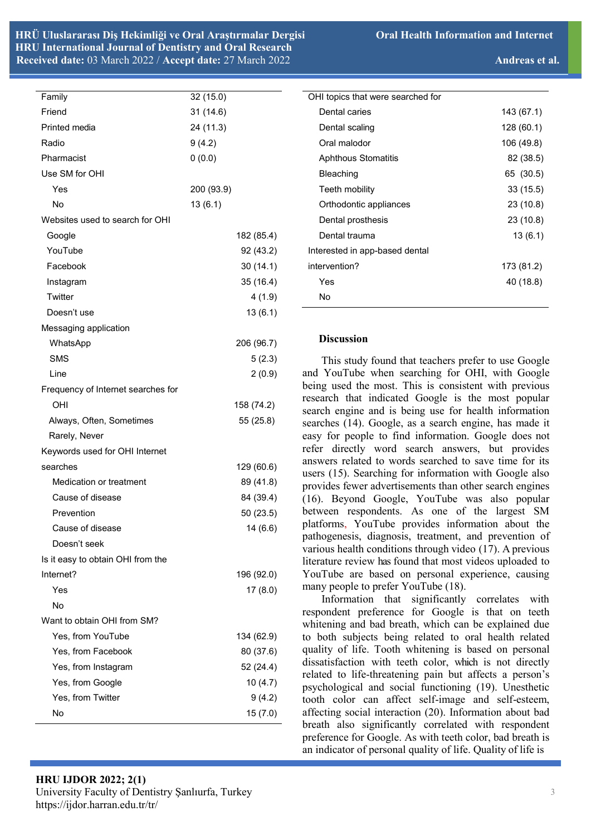| Family                             | 32(15.0)   |
|------------------------------------|------------|
| Friend                             | 31 (14.6)  |
| Printed media                      | 24 (11.3)  |
| Radio                              | 9(4.2)     |
| Pharmacist                         | 0(0.0)     |
| Use SM for OHI                     |            |
| Yes                                | 200 (93.9) |
| No                                 | 13(6.1)    |
| Websites used to search for OHI    |            |
| Google                             | 182 (85.4) |
| YouTube                            | 92 (43.2)  |
| Facebook                           | 30(14.1)   |
| Instagram                          | 35 (16.4)  |
| Twitter                            | 4(1.9)     |
| Doesn't use                        | 13(6.1)    |
| Messaging application              |            |
| WhatsApp                           | 206 (96.7) |
| <b>SMS</b>                         | 5(2.3)     |
| Line                               | 2(0.9)     |
| Frequency of Internet searches for |            |
| OHI                                | 158 (74.2) |
| Always, Often, Sometimes           | 55 (25.8)  |
| Rarely, Never                      |            |
| Keywords used for OHI Internet     |            |
| searches                           | 129 (60.6) |
| Medication or treatment            | 89 (41.8)  |
| Cause of disease                   | 84 (39.4)  |
| Prevention                         | 50 (23.5)  |
| Cause of disease                   | 14(6.6)    |
| Doesn't seek                       |            |
| Is it easy to obtain OHI from the  |            |
| Internet?                          | 196 (92.0) |
| Yes                                | 17(8.0)    |
| No                                 |            |
| Want to obtain OHI from SM?        |            |
| Yes, from YouTube                  | 134 (62.9) |
| Yes, from Facebook                 | 80 (37.6)  |
| Yes, from Instagram                | 52 (24.4)  |
| Yes, from Google                   | 10(4.7)    |
| Yes, from Twitter                  | 9(4.2)     |
| No                                 | 15(7.0)    |
|                                    |            |

| OHI topics that were searched for |            |
|-----------------------------------|------------|
| Dental caries                     | 143 (67.1) |
| Dental scaling                    | 128 (60.1) |
| Oral malodor                      | 106 (49.8) |
| <b>Aphthous Stomatitis</b>        | 82 (38.5)  |
| Bleaching                         | 65 (30.5)  |
| Teeth mobility                    | 33(15.5)   |
| Orthodontic appliances            | 23 (10.8)  |
| Dental prosthesis                 | 23 (10.8)  |
| Dental trauma                     | 13(6.1)    |
| Interested in app-based dental    |            |
| intervention?                     | 173 (81.2) |
| Yes                               | 40 (18.8)  |
| No                                |            |
|                                   |            |

## **Discussion**

 This study found that teachers prefer to use Google and YouTube when searching for OHI, with Google being used the most. This is consistent with previous research that indicated Google is the most popular search engine and is being use for health information searches (14). Google, as a search engine, has made it easy for people to find information. Google does not refer directly word search answers, but provides answers related to words searched to save time for its users (15). Searching for information with Google also provides fewer advertisements than other search engines (16). Beyond Google, YouTube was also popular between respondents. As one of the largest SM platforms, YouTube provides information about the pathogenesis, diagnosis, treatment, and prevention of various health conditions through video (17). A previous literature review has found that most videos uploaded to YouTube are based on personal experience, causing many people to prefer YouTube (18).

 Information that significantly correlates with respondent preference for Google is that on teeth whitening and bad breath, which can be explained due to both subjects being related to oral health related quality of life. Tooth whitening is based on personal dissatisfaction with teeth color, which is not directly related to life-threatening pain but affects a person's psychological and social functioning (19). Unesthetic tooth color can affect self-image and self-esteem, affecting social interaction (20). Information about bad breath also significantly correlated with respondent preference for Google. As with teeth color, bad breath is an indicator of personal quality of life. Quality of life is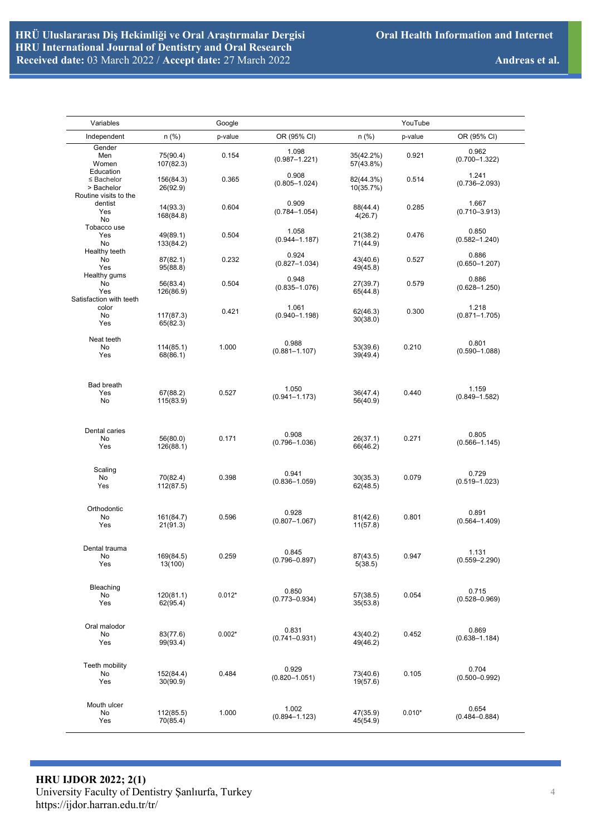| Variables                                     |                       | Google   |                            |                        | YouTube  |                            |
|-----------------------------------------------|-----------------------|----------|----------------------------|------------------------|----------|----------------------------|
| Independent                                   | $n$ (%)               | p-value  | OR (95% CI)                | $n$ (%)                | p-value  | OR (95% CI)                |
| Gender<br>Men<br>Women                        | 75(90.4)<br>107(82.3) | 0.154    | 1.098<br>$(0.987 - 1.221)$ | 35(42.2%)<br>57(43.8%) | 0.921    | 0.962<br>$(0.700 - 1.322)$ |
| Education<br>$\leq$ Bachelor<br>> Bachelor    | 156(84.3)<br>26(92.9) | 0.365    | 0.908<br>$(0.805 - 1.024)$ | 82(44.3%)<br>10(35.7%) | 0.514    | 1.241<br>$(0.736 - 2.093)$ |
| Routine visits to the<br>dentist<br>Yes       | 14(93.3)<br>168(84.8) | 0.604    | 0.909<br>$(0.784 - 1.054)$ | 88(44.4)<br>4(26.7)    | 0.285    | 1.667<br>$(0.710 - 3.913)$ |
| No<br>Tobacco use<br>Yes<br>No                | 49(89.1)<br>133(84.2) | 0.504    | 1.058<br>$(0.944 - 1.187)$ | 21(38.2)<br>71(44.9)   | 0.476    | 0.850<br>$(0.582 - 1.240)$ |
| Healthy teeth<br>No<br>Yes                    | 87(82.1)<br>95(88.8)  | 0.232    | 0.924<br>$(0.827 - 1.034)$ | 43(40.6)<br>49(45.8)   | 0.527    | 0.886<br>$(0.650 - 1.207)$ |
| Healthy gums<br>No<br>Yes                     | 56(83.4)<br>126(86.9) | 0.504    | 0.948<br>$(0.835 - 1.076)$ | 27(39.7)<br>65(44.8)   | 0.579    | 0.886<br>$(0.628 - 1.250)$ |
| Satisfaction with teeth<br>color<br>No<br>Yes | 117(87.3)<br>65(82.3) | 0.421    | 1.061<br>$(0.940 - 1.198)$ | 62(46.3)<br>30(38.0)   | 0.300    | 1.218<br>$(0.871 - 1.705)$ |
| Neat teeth<br>No<br>Yes                       | 114(85.1)<br>68(86.1) | 1.000    | 0.988<br>$(0.881 - 1.107)$ | 53(39.6)<br>39(49.4)   | 0.210    | 0.801<br>$(0.590 - 1.088)$ |
| <b>Bad breath</b><br>Yes<br>No                | 67(88.2)<br>115(83.9) | 0.527    | 1.050<br>$(0.941 - 1.173)$ | 36(47.4)<br>56(40.9)   | 0.440    | 1.159<br>$(0.849 - 1.582)$ |
| Dental caries<br>No<br>Yes                    | 56(80.0)<br>126(88.1) | 0.171    | 0.908<br>$(0.796 - 1.036)$ | 26(37.1)<br>66(46.2)   | 0.271    | 0.805<br>$(0.566 - 1.145)$ |
| Scaling<br>No<br>Yes                          | 70(82.4)<br>112(87.5) | 0.398    | 0.941<br>$(0.836 - 1.059)$ | 30(35.3)<br>62(48.5)   | 0.079    | 0.729<br>$(0.519 - 1.023)$ |
| Orthodontic<br>No<br>Yes                      | 161(84.7)<br>21(91.3) | 0.596    | 0.928<br>$(0.807 - 1.067)$ | 81(42.6)<br>11(57.8)   | 0.801    | 0.891<br>$(0.564 - 1.409)$ |
| Dental trauma<br>No<br>Yes                    | 169(84.5)<br>13(100)  | 0.259    | 0.845<br>$(0.796 - 0.897)$ | 87(43.5)<br>5(38.5)    | 0.947    | 1.131<br>$(0.559 - 2.290)$ |
| Bleaching<br>No<br>Yes                        | 120(81.1)<br>62(95.4) | $0.012*$ | 0.850<br>$(0.773 - 0.934)$ | 57(38.5)<br>35(53.8)   | 0.054    | 0.715<br>$(0.528 - 0.969)$ |
| Oral malodor<br>No<br>Yes                     | 83(77.6)<br>99(93.4)  | $0.002*$ | 0.831<br>$(0.741 - 0.931)$ | 43(40.2)<br>49(46.2)   | 0.452    | 0.869<br>$(0.638 - 1.184)$ |
| Teeth mobility<br>No<br>Yes                   | 152(84.4)<br>30(90.9) | 0.484    | 0.929<br>$(0.820 - 1.051)$ | 73(40.6)<br>19(57.6)   | 0.105    | 0.704<br>$(0.500 - 0.992)$ |
| Mouth ulcer<br>No<br>Yes                      | 112(85.5)<br>70(85.4) | 1.000    | 1.002<br>$(0.894 - 1.123)$ | 47(35.9)<br>45(54.9)   | $0.010*$ | 0.654<br>$(0.484 - 0.884)$ |

**HRU IJDOR 2022; 2(1)** University Faculty of Dentistry Şanlıurfa, Turkey https://ijdor.harran.edu.tr/tr/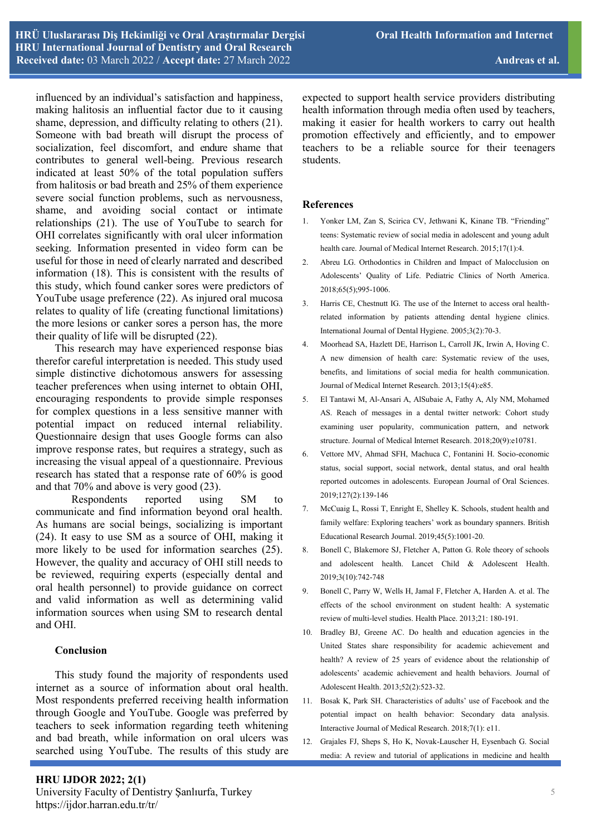influenced by an individual's satisfaction and happiness, making halitosis an influential factor due to it causing shame, depression, and difficulty relating to others (21). Someone with bad breath will disrupt the process of socialization, feel discomfort, and endure shame that contributes to general well-being. Previous research indicated at least 50% of the total population suffers from halitosis or bad breath and 25% of them experience severe social function problems, such as nervousness, shame, and avoiding social contact or intimate relationships (21). The use of YouTube to search for OHI correlates significantly with oral ulcer information seeking. Information presented in video form can be useful for those in need of clearly narrated and described information (18). This is consistent with the results of this study, which found canker sores were predictors of YouTube usage preference (22). As injured oral mucosa relates to quality of life (creating functional limitations) the more lesions or canker sores a person has, the more their quality of life will be disrupted (22).

 This research may have experienced response bias therefor careful interpretation is needed. This study used simple distinctive dichotomous answers for assessing teacher preferences when using internet to obtain OHI, encouraging respondents to provide simple responses for complex questions in a less sensitive manner with potential impact on reduced internal reliability. Questionnaire design that uses Google forms can also improve response rates, but requires a strategy, such as increasing the visual appeal of a questionnaire. Previous research has stated that a response rate of 60% is good and that 70% and above is very good (23).

Respondents reported using SM to communicate and find information beyond oral health. As humans are social beings, socializing is important (24). It easy to use SM as a source of OHI, making it more likely to be used for information searches (25). However, the quality and accuracy of OHI still needs to be reviewed, requiring experts (especially dental and oral health personnel) to provide guidance on correct and valid information as well as determining valid information sources when using SM to research dental and OHI.

#### **Conclusion**

 This study found the majority of respondents used internet as a source of information about oral health. Most respondents preferred receiving health information through Google and YouTube. Google was preferred by teachers to seek information regarding teeth whitening and bad breath, while information on oral ulcers was searched using YouTube. The results of this study are

**HRU IJDOR 2022; 2(1)**

expected to support health service providers distributing health information through media often used by teachers, making it easier for health workers to carry out health promotion effectively and efficiently, and to empower teachers to be a reliable source for their teenagers students.

## **References**

- 1. Yonker LM, Zan S, Scirica CV, Jethwani K, Kinane TB. "Friending" teens: Systematic review of social media in adolescent and young adult health care. Journal of Medical Internet Research. 2015;17(1):4.
- 2. Abreu LG. Orthodontics in Children and Impact of Malocclusion on Adolescents' Quality of Life. Pediatric Clinics of North America. 2018;65(5);995-1006.
- 3. Harris CE, Chestnutt IG. The use of the Internet to access oral healthrelated information by patients attending dental hygiene clinics. International Journal of Dental Hygiene. 2005;3(2):70-3.
- 4. Moorhead SA, Hazlett DE, Harrison L, Carroll JK, Irwin A, Hoving C. A new dimension of health care: Systematic review of the uses, benefits, and limitations of social media for health communication. Journal of Medical Internet Research. 2013;15(4):e85.
- 5. El Tantawi M, Al-Ansari A, AlSubaie A, Fathy A, Aly NM, Mohamed AS. Reach of messages in a dental twitter network: Cohort study examining user popularity, communication pattern, and network structure. Journal of Medical Internet Research. 2018;20(9):e10781.
- 6. Vettore MV, Ahmad SFH, Machuca C, Fontanini H. Socio-economic status, social support, social network, dental status, and oral health reported outcomes in adolescents. European Journal of Oral Sciences. 2019;127(2):139-146
- 7. McCuaig L, Rossi T, Enright E, Shelley K. Schools, student health and family welfare: Exploring teachers' work as boundary spanners. British Educational Research Journal. 2019;45(5):1001-20.
- 8. Bonell C, Blakemore SJ, Fletcher A, Patton G. Role theory of schools and adolescent health. Lancet Child & Adolescent Health. 2019;3(10):742-748
- 9. Bonell C, Parry W, Wells H, Jamal F, Fletcher A, Harden A. et al. The effects of the school environment on student health: A systematic review of multi-level studies. Health Place. 2013;21: 180-191.
- 10. Bradley BJ, Greene AC. Do health and education agencies in the United States share responsibility for academic achievement and health? A review of 25 years of evidence about the relationship of adolescents' academic achievement and health behaviors. Journal of Adolescent Health. 2013;52(2):523-32.
- 11. Bosak K, Park SH. Characteristics of adults' use of Facebook and the potential impact on health behavior: Secondary data analysis. Interactive Journal of Medical Research. 2018;7(1): e11.
- 12. Grajales FJ, Sheps S, Ho K, Novak-Lauscher H, Eysenbach G. Social media: A review and tutorial of applications in medicine and health